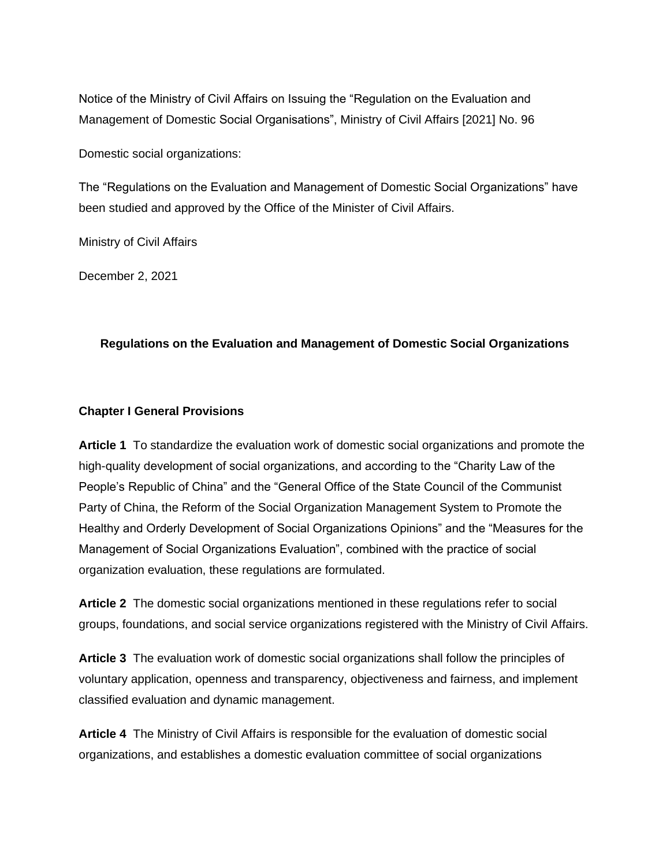Notice of the Ministry of Civil Affairs on Issuing the "Regulation on the Evaluation and Management of Domestic Social Organisations", Ministry of Civil Affairs [2021] No. 96

Domestic social organizations:

The "Regulations on the Evaluation and Management of Domestic Social Organizations" have been studied and approved by the Office of the Minister of Civil Affairs.

Ministry of Civil Affairs

December 2, 2021

# **Regulations on the Evaluation and Management of Domestic Social Organizations**

# **Chapter I General Provisions**

**Article 1** To standardize the evaluation work of domestic social organizations and promote the high-quality development of social organizations, and according to the "Charity Law of the People's Republic of China" and the "General Office of the State Council of the Communist Party of China, the Reform of the Social Organization Management System to Promote the Healthy and Orderly Development of Social Organizations Opinions" and the "Measures for the Management of Social Organizations Evaluation", combined with the practice of social organization evaluation, these regulations are formulated.

**Article 2** The domestic social organizations mentioned in these regulations refer to social groups, foundations, and social service organizations registered with the Ministry of Civil Affairs.

**Article 3** The evaluation work of domestic social organizations shall follow the principles of voluntary application, openness and transparency, objectiveness and fairness, and implement classified evaluation and dynamic management.

**Article 4** The Ministry of Civil Affairs is responsible for the evaluation of domestic social organizations, and establishes a domestic evaluation committee of social organizations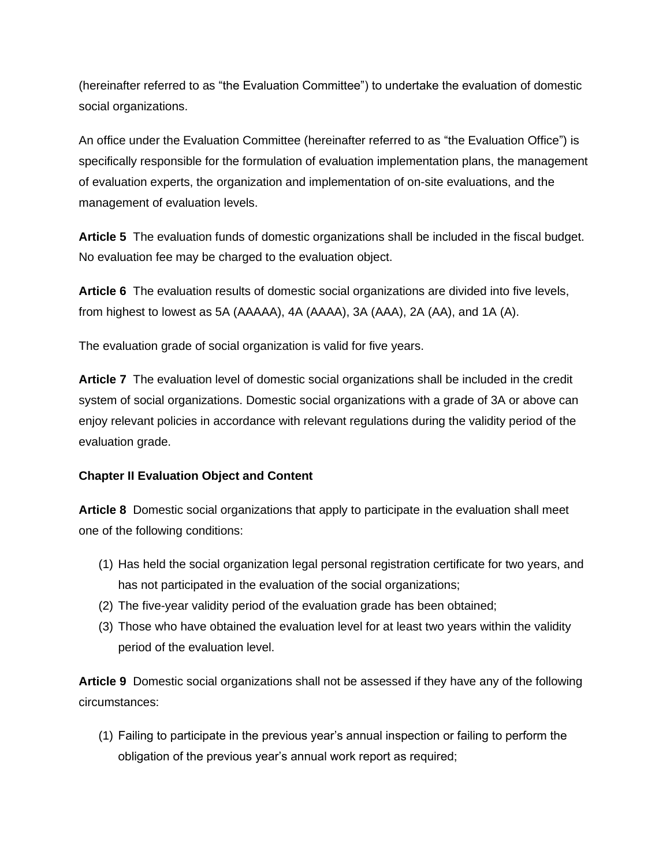(hereinafter referred to as "the Evaluation Committee") to undertake the evaluation of domestic social organizations.

An office under the Evaluation Committee (hereinafter referred to as "the Evaluation Office") is specifically responsible for the formulation of evaluation implementation plans, the management of evaluation experts, the organization and implementation of on-site evaluations, and the management of evaluation levels.

**Article 5** The evaluation funds of domestic organizations shall be included in the fiscal budget. No evaluation fee may be charged to the evaluation object.

**Article 6** The evaluation results of domestic social organizations are divided into five levels, from highest to lowest as 5A (AAAAA), 4A (AAAA), 3A (AAA), 2A (AA), and 1A (A).

The evaluation grade of social organization is valid for five years.

**Article 7** The evaluation level of domestic social organizations shall be included in the credit system of social organizations. Domestic social organizations with a grade of 3A or above can enjoy relevant policies in accordance with relevant regulations during the validity period of the evaluation grade.

# **Chapter II Evaluation Object and Content**

**Article 8** Domestic social organizations that apply to participate in the evaluation shall meet one of the following conditions:

- (1) Has held the social organization legal personal registration certificate for two years, and has not participated in the evaluation of the social organizations;
- (2) The five-year validity period of the evaluation grade has been obtained;
- (3) Those who have obtained the evaluation level for at least two years within the validity period of the evaluation level.

**Article 9** Domestic social organizations shall not be assessed if they have any of the following circumstances:

(1) Failing to participate in the previous year's annual inspection or failing to perform the obligation of the previous year's annual work report as required;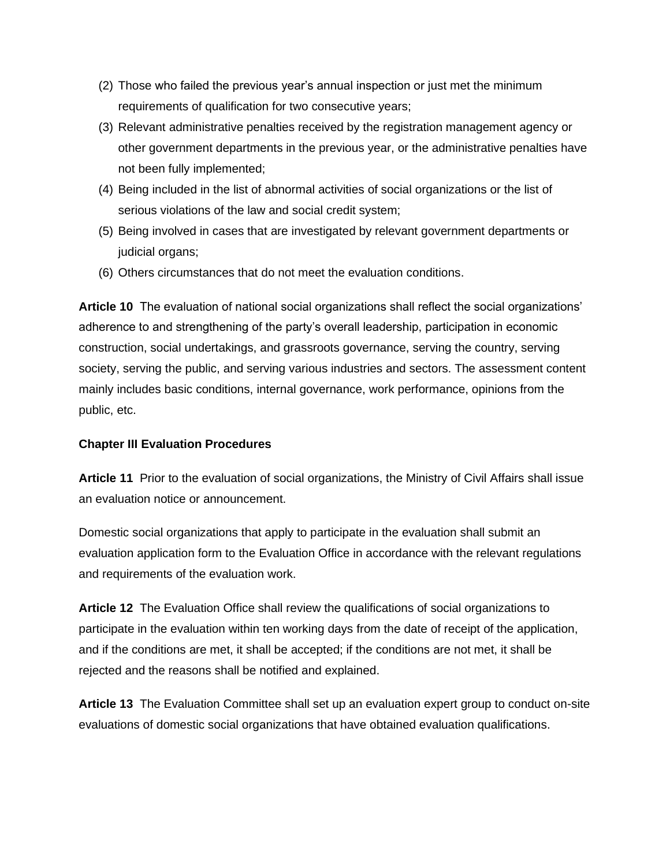- (2) Those who failed the previous year's annual inspection or just met the minimum requirements of qualification for two consecutive years;
- (3) Relevant administrative penalties received by the registration management agency or other government departments in the previous year, or the administrative penalties have not been fully implemented;
- (4) Being included in the list of abnormal activities of social organizations or the list of serious violations of the law and social credit system;
- (5) Being involved in cases that are investigated by relevant government departments or judicial organs;
- (6) Others circumstances that do not meet the evaluation conditions.

**Article 10** The evaluation of national social organizations shall reflect the social organizations' adherence to and strengthening of the party's overall leadership, participation in economic construction, social undertakings, and grassroots governance, serving the country, serving society, serving the public, and serving various industries and sectors. The assessment content mainly includes basic conditions, internal governance, work performance, opinions from the public, etc.

# **Chapter III Evaluation Procedures**

**Article 11** Prior to the evaluation of social organizations, the Ministry of Civil Affairs shall issue an evaluation notice or announcement.

Domestic social organizations that apply to participate in the evaluation shall submit an evaluation application form to the Evaluation Office in accordance with the relevant regulations and requirements of the evaluation work.

**Article 12** The Evaluation Office shall review the qualifications of social organizations to participate in the evaluation within ten working days from the date of receipt of the application, and if the conditions are met, it shall be accepted; if the conditions are not met, it shall be rejected and the reasons shall be notified and explained.

**Article 13** The Evaluation Committee shall set up an evaluation expert group to conduct on-site evaluations of domestic social organizations that have obtained evaluation qualifications.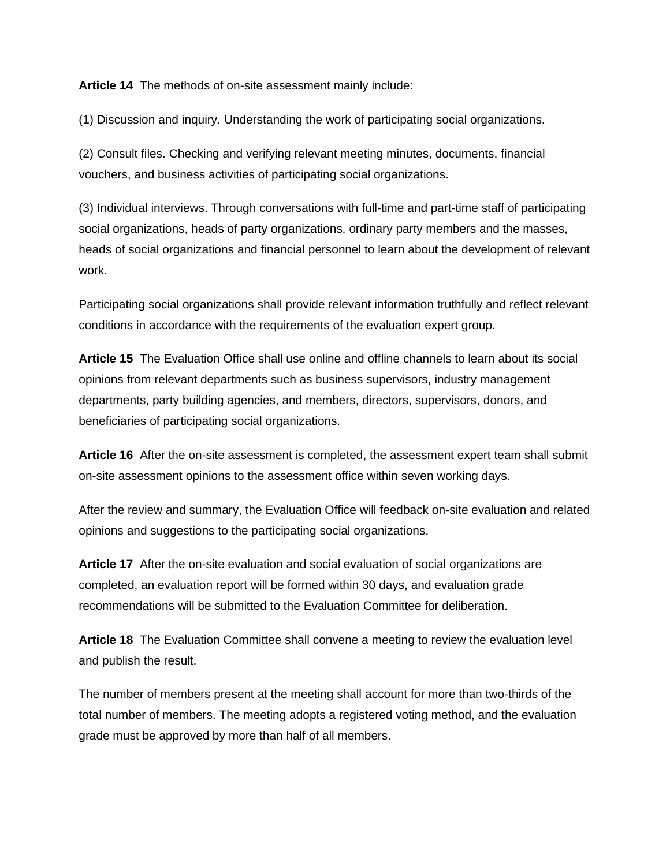**Article 14** The methods of on-site assessment mainly include:

(1) Discussion and inquiry. Understanding the work of participating social organizations.

(2) Consult files. Checking and verifying relevant meeting minutes, documents, financial vouchers, and business activities of participating social organizations.

(3) Individual interviews. Through conversations with full-time and part-time staff of participating social organizations, heads of party organizations, ordinary party members and the masses, heads of social organizations and financial personnel to learn about the development of relevant work.

Participating social organizations shall provide relevant information truthfully and reflect relevant conditions in accordance with the requirements of the evaluation expert group.

**Article 15** The Evaluation Office shall use online and offline channels to learn about its social opinions from relevant departments such as business supervisors, industry management departments, party building agencies, and members, directors, supervisors, donors, and beneficiaries of participating social organizations.

**Article 16** After the on-site assessment is completed, the assessment expert team shall submit on-site assessment opinions to the assessment office within seven working days.

After the review and summary, the Evaluation Office will feedback on-site evaluation and related opinions and suggestions to the participating social organizations.

**Article 17** After the on-site evaluation and social evaluation of social organizations are completed, an evaluation report will be formed within 30 days, and evaluation grade recommendations will be submitted to the Evaluation Committee for deliberation.

**Article 18** The Evaluation Committee shall convene a meeting to review the evaluation level and publish the result.

The number of members present at the meeting shall account for more than two-thirds of the total number of members. The meeting adopts a registered voting method, and the evaluation grade must be approved by more than half of all members.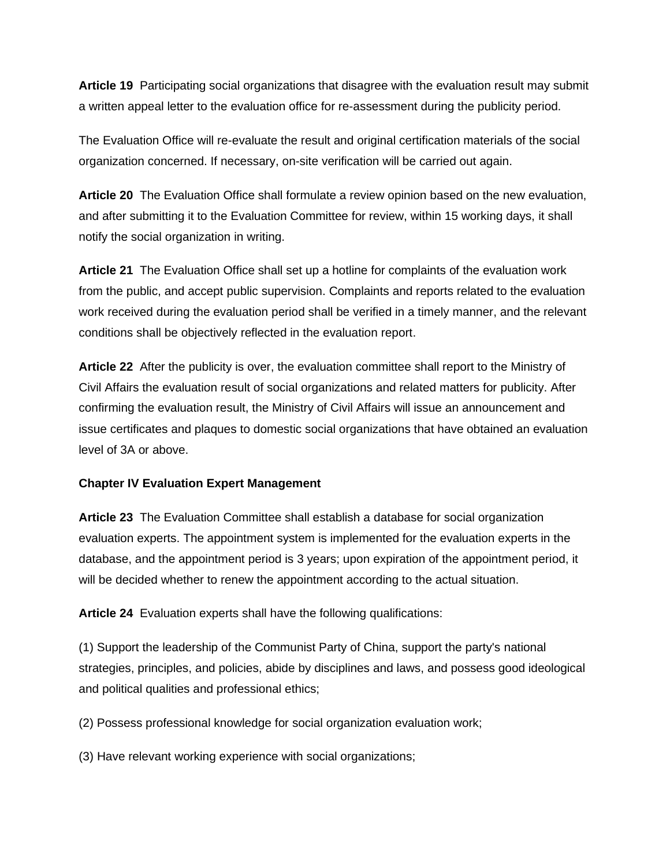**Article 19** Participating social organizations that disagree with the evaluation result may submit a written appeal letter to the evaluation office for re-assessment during the publicity period.

The Evaluation Office will re-evaluate the result and original certification materials of the social organization concerned. If necessary, on-site verification will be carried out again.

**Article 20** The Evaluation Office shall formulate a review opinion based on the new evaluation, and after submitting it to the Evaluation Committee for review, within 15 working days, it shall notify the social organization in writing.

**Article 21** The Evaluation Office shall set up a hotline for complaints of the evaluation work from the public, and accept public supervision. Complaints and reports related to the evaluation work received during the evaluation period shall be verified in a timely manner, and the relevant conditions shall be objectively reflected in the evaluation report.

**Article 22** After the publicity is over, the evaluation committee shall report to the Ministry of Civil Affairs the evaluation result of social organizations and related matters for publicity. After confirming the evaluation result, the Ministry of Civil Affairs will issue an announcement and issue certificates and plaques to domestic social organizations that have obtained an evaluation level of 3A or above.

# **Chapter IV Evaluation Expert Management**

**Article 23** The Evaluation Committee shall establish a database for social organization evaluation experts. The appointment system is implemented for the evaluation experts in the database, and the appointment period is 3 years; upon expiration of the appointment period, it will be decided whether to renew the appointment according to the actual situation.

**Article 24** Evaluation experts shall have the following qualifications:

(1) Support the leadership of the Communist Party of China, support the party's national strategies, principles, and policies, abide by disciplines and laws, and possess good ideological and political qualities and professional ethics;

(2) Possess professional knowledge for social organization evaluation work;

(3) Have relevant working experience with social organizations;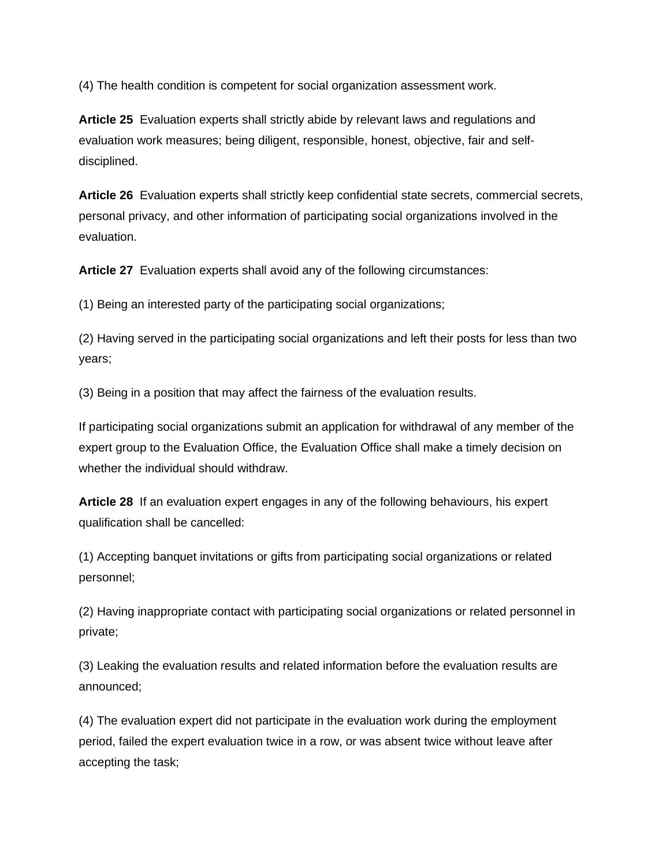(4) The health condition is competent for social organization assessment work.

**Article 25** Evaluation experts shall strictly abide by relevant laws and regulations and evaluation work measures; being diligent, responsible, honest, objective, fair and selfdisciplined.

**Article 26** Evaluation experts shall strictly keep confidential state secrets, commercial secrets, personal privacy, and other information of participating social organizations involved in the evaluation.

**Article 27** Evaluation experts shall avoid any of the following circumstances:

(1) Being an interested party of the participating social organizations;

(2) Having served in the participating social organizations and left their posts for less than two years;

(3) Being in a position that may affect the fairness of the evaluation results.

If participating social organizations submit an application for withdrawal of any member of the expert group to the Evaluation Office, the Evaluation Office shall make a timely decision on whether the individual should withdraw.

**Article 28** If an evaluation expert engages in any of the following behaviours, his expert qualification shall be cancelled:

(1) Accepting banquet invitations or gifts from participating social organizations or related personnel;

(2) Having inappropriate contact with participating social organizations or related personnel in private;

(3) Leaking the evaluation results and related information before the evaluation results are announced;

(4) The evaluation expert did not participate in the evaluation work during the employment period, failed the expert evaluation twice in a row, or was absent twice without leave after accepting the task;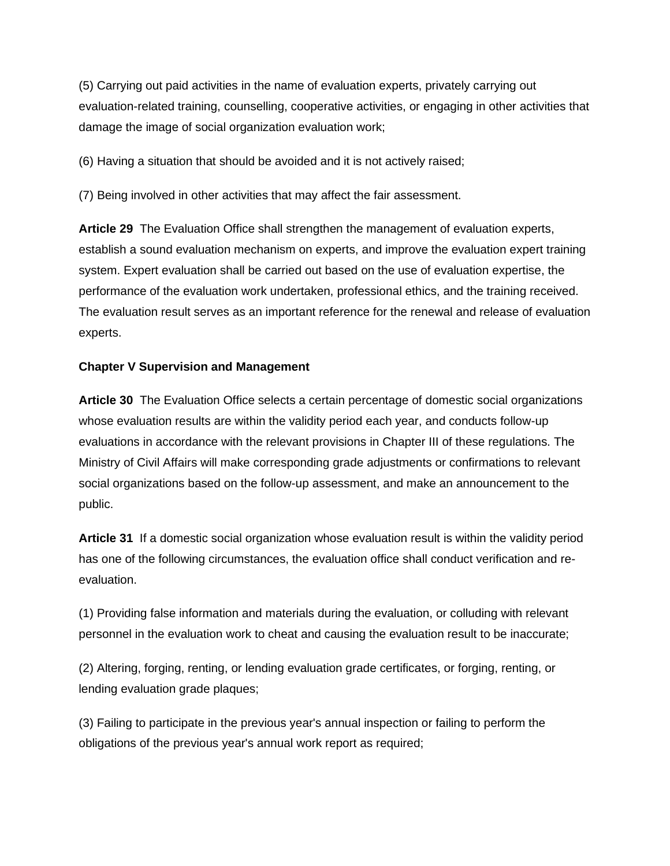(5) Carrying out paid activities in the name of evaluation experts, privately carrying out evaluation-related training, counselling, cooperative activities, or engaging in other activities that damage the image of social organization evaluation work;

(6) Having a situation that should be avoided and it is not actively raised;

(7) Being involved in other activities that may affect the fair assessment.

**Article 29** The Evaluation Office shall strengthen the management of evaluation experts, establish a sound evaluation mechanism on experts, and improve the evaluation expert training system. Expert evaluation shall be carried out based on the use of evaluation expertise, the performance of the evaluation work undertaken, professional ethics, and the training received. The evaluation result serves as an important reference for the renewal and release of evaluation experts.

# **Chapter V Supervision and Management**

**Article 30** The Evaluation Office selects a certain percentage of domestic social organizations whose evaluation results are within the validity period each year, and conducts follow-up evaluations in accordance with the relevant provisions in Chapter III of these regulations. The Ministry of Civil Affairs will make corresponding grade adjustments or confirmations to relevant social organizations based on the follow-up assessment, and make an announcement to the public.

**Article 31** If a domestic social organization whose evaluation result is within the validity period has one of the following circumstances, the evaluation office shall conduct verification and reevaluation.

(1) Providing false information and materials during the evaluation, or colluding with relevant personnel in the evaluation work to cheat and causing the evaluation result to be inaccurate;

(2) Altering, forging, renting, or lending evaluation grade certificates, or forging, renting, or lending evaluation grade plaques;

(3) Failing to participate in the previous year's annual inspection or failing to perform the obligations of the previous year's annual work report as required;